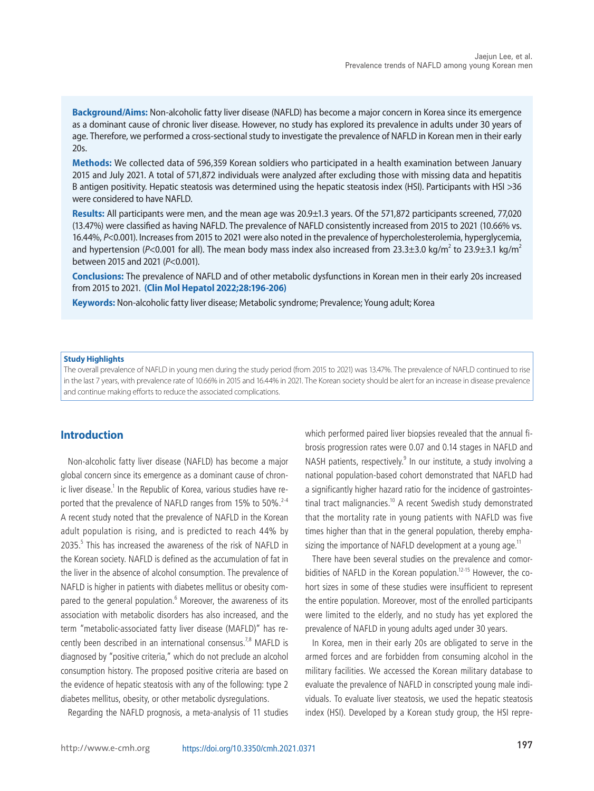

# **Prevalence trends of non-alcoholic fatty liver disease among young men in Korea: A Korean military popula tion-based cross-sectional study**

Jaejun Lee $^{1,2}$ , Taeyun Kim $^1$ , Hyun Yang $^{2,3}$ , and Si Hyun Bae $^{2,3}$ 

<sup>1</sup>Department of Internal Medicine, Armed Forces Goyang Hospital, Goyang; <sup>2</sup>The Catholic University Liver Research Center, College of Medicine, The Catholic University of Korea, Seoul; <sup>3</sup>Division of Gastroenterology and Hepatology, Department of Internal Medicine, Eunpyeong St. Mary's Hospital, College of Medicine, The Catholic University of Korea, Seoul, Korea

#### **Graphical Abstract**



#### **Abbreviations:**

AAPC, average annual percent change; ALT, alanine aminotransferase; APC, annual percent change; APRI, AST-to-platelet ratio index; AST, aspartate aminotransferase; BMI, body mass index; DBP, diastolic blood pressure; FIB-4, fibrosis-4; HDL, high-density lipoprotein; HSI, hepatic steatosis index; LDL, lowdensity lipoprotein; MAFLD, metabolic-associated fatty liver disease; NAFLD, non-alcoholic fatty liver disease; NDEMIS, new defense medical information system; SBP, systolic blood pressure; SDs, standard deviations; SMD, standardized mean difference; TC, total cholesterol; TG, triglycerides; WBC, white blood cell; γGTP, gamma-glutamyl transpeptidase

#### **Corresponding author : Si Hyun Bae**

Division of Gastroenterology and Hepatology, Department of Internal Medicine, Eunpyeong St. Mary's Hospital, College of Medicine, The Catholic University of Korea, 1021 Tongil-ro, Eunpyeong-gu, Seoul 03312, Korea

Tel: +82-2-2258-6020, Fax: +82-2-3481-4025 E-mail: baesh@catholic.ac.kr https://orcid.org/0000-0003-1727-7842

Editor: Ju Dong Yang, Cedars-Sinai Medical Center, CA, USA Received : Nov. 28, 2021 / Revised : Jan. 5, 2022 / Accepted : Jan. 7, 2022

Copyright © 2022 by Korean Association for the Study of the Liver This is an Open Access article distributed under the terms of the Creative Commons Attribution Non-Commercial License (http://creativecommons.org/licenses/by-nc/3.0/) which permits unrestricted non-commercial use, distribution, and reproduction in any medium, provided the original work is properly cited.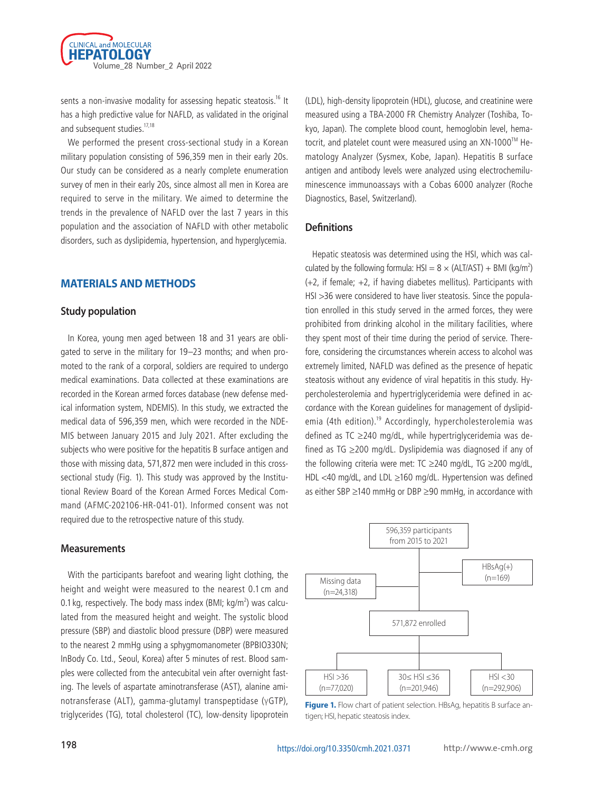**Background/Aims:** Non-alcoholic fatty liver disease (NAFLD) has become a major concern in Korea since its emergence as a dominant cause of chronic liver disease. However, no study has explored its prevalence in adults under 30 years of age. Therefore, we performed a cross-sectional study to investigate the prevalence of NAFLD in Korean men in their early  $20s$ 

**Methods:** We collected data of 596,359 Korean soldiers who participated in a health examination between January 2015 and July 2021. A total of 571,872 individuals were analyzed after excluding those with missing data and hepatitis B antigen positivity. Hepatic steatosis was determined using the hepatic steatosis index (HSI). Participants with HSI >36 were considered to have NAFLD.

**Results:** All participants were men, and the mean age was 20.9±1.3 years. Of the 571,872 participants screened, 77,020 (13.47%) were classified as having NAFLD. The prevalence of NAFLD consistently increased from 2015 to 2021 (10.66% vs. 16.44%, *P*<0.001). Increases from 2015 to 2021 were also noted in the prevalence of hypercholesterolemia, hyperglycemia, and hypertension (P<0.001 for all). The mean body mass index also increased from 23.3±3.0 kg/m<sup>2</sup> to 23.9±3.1 kg/m<sup>2</sup> between 2015 and 2021 (*P*<0.001).

**Conclusions:** The prevalence of NAFLD and of other metabolic dysfunctions in Korean men in their early 20s increased from 2015 to 2021. **(Clin Mol Hepatol 2022;28:196-206)**

**Keywords:** Non-alcoholic fatty liver disease; Metabolic syndrome; Prevalence; Young adult; Korea

#### **Study Highlights**

The overall prevalence of NAFLD in young men during the study period (from 2015 to 2021) was 13.47%. The prevalence of NAFLD continued to rise in the last 7 years, with prevalence rate of 10.66% in 2015 and 16.44% in 2021. The Korean society should be alert for an increase in disease prevalence and continue making efforts to reduce the associated complications.

# **Introduction**

Non-alcoholic fatty liver disease (NAFLD) has become a major global concern since its emergence as a dominant cause of chronic liver disease.<sup>1</sup> In the Republic of Korea, various studies have reported that the prevalence of NAFLD ranges from 15% to 50%.<sup>2-4</sup> A recent study noted that the prevalence of NAFLD in the Korean adult population is rising, and is predicted to reach 44% by 2035.<sup>5</sup> This has increased the awareness of the risk of NAFLD in the Korean society. NAFLD is defined as the accumulation of fat in the liver in the absence of alcohol consumption. The prevalence of NAFLD is higher in patients with diabetes mellitus or obesity compared to the general population.<sup>6</sup> Moreover, the awareness of its association with metabolic disorders has also increased, and the term "metabolic-associated fatty liver disease (MAFLD)" has recently been described in an international consensus.<sup>7,8</sup> MAFLD is diagnosed by "positive criteria," which do not preclude an alcohol consumption history. The proposed positive criteria are based on the evidence of hepatic steatosis with any of the following: type 2 diabetes mellitus, obesity, or other metabolic dysregulations.

Regarding the NAFLD prognosis, a meta-analysis of 11 studies

which performed paired liver biopsies revealed that the annual fibrosis progression rates were 0.07 and 0.14 stages in NAFLD and NASH patients, respectively.<sup>9</sup> In our institute, a study involving a national population-based cohort demonstrated that NAFLD had a significantly higher hazard ratio for the incidence of gastrointestinal tract malignancies.<sup>10</sup> A recent Swedish study demonstrated that the mortality rate in young patients with NAFLD was five times higher than that in the general population, thereby emphasizing the importance of NAFLD development at a young age.<sup>11</sup>

There have been several studies on the prevalence and comorbidities of NAFLD in the Korean population.<sup>12-15</sup> However, the cohort sizes in some of these studies were insufficient to represent the entire population. Moreover, most of the enrolled participants were limited to the elderly, and no study has yet explored the prevalence of NAFLD in young adults aged under 30 years.

In Korea, men in their early 20s are obligated to serve in the armed forces and are forbidden from consuming alcohol in the military facilities. We accessed the Korean military database to evaluate the prevalence of NAFLD in conscripted young male individuals. To evaluate liver steatosis, we used the hepatic steatosis index (HSI). Developed by a Korean study group, the HSI repre-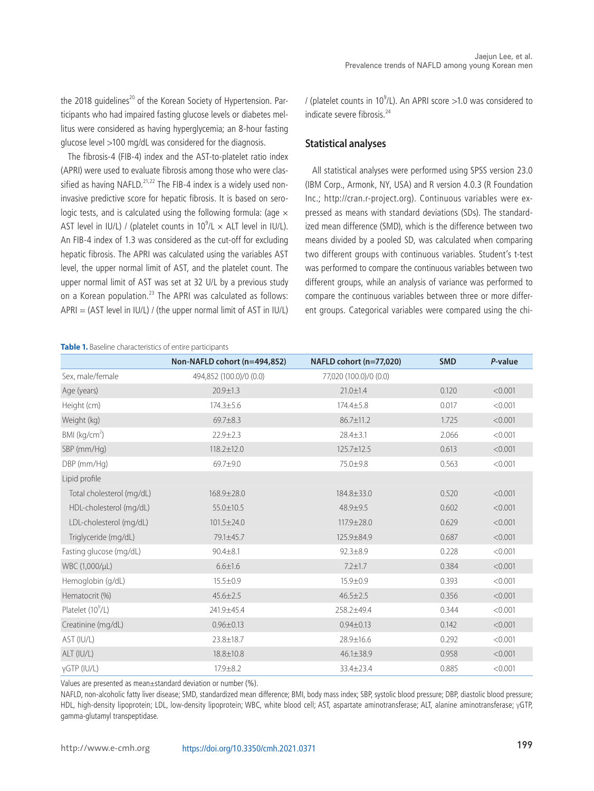

sents a non-invasive modality for assessing hepatic steatosis.<sup>16</sup> It has a high predictive value for NAFLD, as validated in the original and subsequent studies.<sup>17,18</sup>

We performed the present cross-sectional study in a Korean military population consisting of 596,359 men in their early 20s. Our study can be considered as a nearly complete enumeration survey of men in their early 20s, since almost all men in Korea are required to serve in the military. We aimed to determine the trends in the prevalence of NAFLD over the last 7 years in this population and the association of NAFLD with other metabolic disorders, such as dyslipidemia, hypertension, and hyperglycemia.

### **MATERIALS AND METHODS**

#### **Study population**

In Korea, young men aged between 18 and 31 years are obligated to serve in the military for 19–23 months; and when promoted to the rank of a corporal, soldiers are required to undergo medical examinations. Data collected at these examinations are recorded in the Korean armed forces database (new defense medical information system, NDEMIS). In this study, we extracted the medical data of 596,359 men, which were recorded in the NDE-MIS between January 2015 and July 2021. After excluding the subjects who were positive for the hepatitis B surface antigen and those with missing data, 571,872 men were included in this crosssectional study (Fig. 1). This study was approved by the Institutional Review Board of the Korean Armed Forces Medical Command (AFMC-202106-HR-041-01). Informed consent was not required due to the retrospective nature of this study.

#### **Measurements**

With the participants barefoot and wearing light clothing, the height and weight were measured to the nearest 0.1 cm and 0.1 kg, respectively. The body mass index (BMI; kg/m<sup>2</sup>) was calculated from the measured height and weight. The systolic blood pressure (SBP) and diastolic blood pressure (DBP) were measured to the nearest 2 mmHg using a sphygmomanometer (BPBIO330N; InBody Co. Ltd., Seoul, Korea) after 5 minutes of rest. Blood samples were collected from the antecubital vein after overnight fasting. The levels of aspartate aminotransferase (AST), alanine aminotransferase (ALT), gamma-glutamyl transpeptidase (γGTP), triglycerides (TG), total cholesterol (TC), low-density lipoprotein

(LDL), high-density lipoprotein (HDL), glucose, and creatinine were measured using a TBA-2000 FR Chemistry Analyzer (Toshiba, Tokyo, Japan). The complete blood count, hemoglobin level, hematocrit, and platelet count were measured using an  $XN-1000^{TM}$  Hematology Analyzer (Sysmex, Kobe, Japan). Hepatitis B surface antigen and antibody levels were analyzed using electrochemiluminescence immunoassays with a Cobas 6000 analyzer (Roche Diagnostics, Basel, Switzerland).

### **Definitions**

Hepatic steatosis was determined using the HSI, which was calculated by the following formula:  $HSI = 8 \times (ALT/AST) + BMI (kg/m^2)$  $(+2,$  if female;  $+2,$  if having diabetes mellitus). Participants with HSI >36 were considered to have liver steatosis. Since the population enrolled in this study served in the armed forces, they were prohibited from drinking alcohol in the military facilities, where they spent most of their time during the period of service. Therefore, considering the circumstances wherein access to alcohol was extremely limited, NAFLD was defined as the presence of hepatic steatosis without any evidence of viral hepatitis in this study. Hypercholesterolemia and hypertriglyceridemia were defined in accordance with the Korean guidelines for management of dyslipidemia (4th edition).<sup>19</sup> Accordingly, hypercholesterolemia was defined as TC ≥240 mg/dL, while hypertriglyceridemia was defined as TG ≥200 mg/dL. Dyslipidemia was diagnosed if any of the following criteria were met: TC ≥240 mg/dL, TG ≥200 mg/dL, HDL <40 mg/dL, and LDL ≥160 mg/dL. Hypertension was defined as either SBP ≥140 mmHg or DBP ≥90 mmHg, in accordance with



Figure 1. Flow chart of patient selection. HBsAg, hepatitis B surface antigen; HSI, hepatic steatosis index.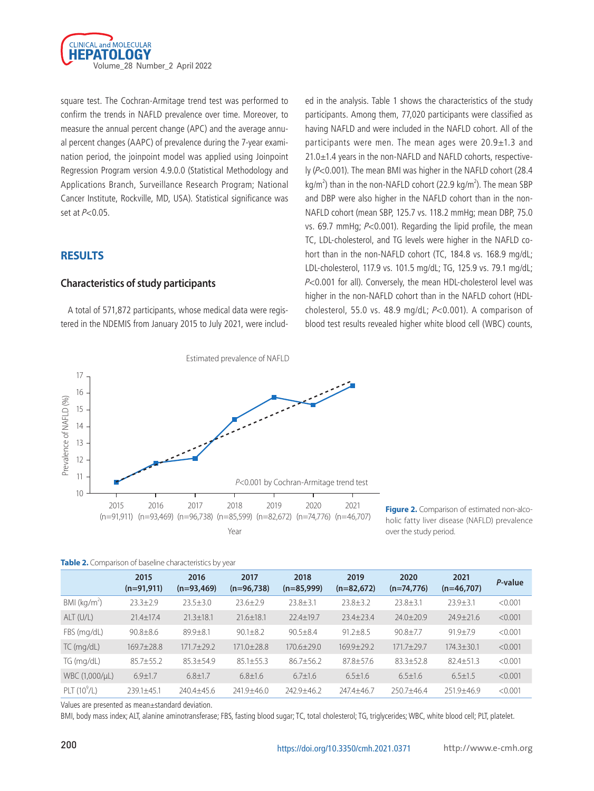the 2018 guidelines<sup>20</sup> of the Korean Society of Hypertension. Participants who had impaired fasting glucose levels or diabetes mellitus were considered as having hyperglycemia; an 8-hour fasting glucose level >100 mg/dL was considered for the diagnosis.

The fibrosis-4 (FIB-4) index and the AST-to-platelet ratio index (APRI) were used to evaluate fibrosis among those who were classified as having NAFLD.<sup>21,22</sup> The FIB-4 index is a widely used noninvasive predictive score for hepatic fibrosis. It is based on serologic tests, and is calculated using the following formula: (age  $\times$ AST level in IU/L) / (platelet counts in  $10^9$ /L  $\times$  ALT level in IU/L). An FIB-4 index of 1.3 was considered as the cut-off for excluding hepatic fibrosis. The APRI was calculated using the variables AST level, the upper normal limit of AST, and the platelet count. The upper normal limit of AST was set at 32 U/L by a previous study on a Korean population.<sup>23</sup> The APRI was calculated as follows:  $APRI = (AST level in IUL) / (the upper normal limit of AST in IUL)$ 

**Table 1.** Baseline characteristics of entire participants

/ (platelet counts in  $10^9$ /L). An APRI score >1.0 was considered to indicate severe fibrosis<sup>24</sup>

#### **Statistical analyses**

All statistical analyses were performed using SPSS version 23.0 (IBM Corp., Armonk, NY, USA) and R version 4.0.3 (R Foundation Inc.; http://cran.r-project.org). Continuous variables were expressed as means with standard deviations (SDs). The standardized mean difference (SMD), which is the difference between two means divided by a pooled SD, was calculated when comparing two different groups with continuous variables. Student's t-test was performed to compare the continuous variables between two different groups, while an analysis of variance was performed to compare the continuous variables between three or more different groups. Categorical variables were compared using the chi-

|                               | Non-NAFLD cohort (n=494,852) | NAFLD cohort (n=77,020) | <b>SMD</b> | P-value |
|-------------------------------|------------------------------|-------------------------|------------|---------|
| Sex, male/female              | 494,852 (100.0)/0 (0.0)      | 77,020 (100.0)/0 (0.0)  |            |         |
| Age (years)                   | $20.9 \pm 1.3$               | $21.0 \pm 1.4$          | 0.120      | < 0.001 |
| Height (cm)                   | $174.3 \pm 5.6$              | 174.4±5.8               | 0.017      | < 0.001 |
| Weight (kg)                   | 69.7±8.3                     | 86.7±11.2               | 1.725      | < 0.001 |
| BMI (kg/cm <sup>2</sup> )     | $22.9 \pm 2.3$               | $28.4 \pm 3.1$          | 2.066      | < 0.001 |
| SBP (mm/Hg)                   | $118.2 \pm 12.0$             | 125.7±12.5              | 0.613      | < 0.001 |
| DBP (mm/Hg)                   | $69.7 + 9.0$                 | 75.0±9.8                | 0.563      | < 0.001 |
| Lipid profile                 |                              |                         |            |         |
| Total cholesterol (mg/dL)     | 168.9±28.0                   | 184.8±33.0              | 0.520      | < 0.001 |
| HDL-cholesterol (mg/dL)       | 55.0±10.5                    | $48.9 + 9.5$            | 0.602      | < 0.001 |
| LDL-cholesterol (mg/dL)       | $101.5 \pm 24.0$             | $117.9 \pm 28.0$        | 0.629      | < 0.001 |
| Triglyceride (mg/dL)          | 79.1±45.7                    | 125.9±84.9              | 0.687      | < 0.001 |
| Fasting glucose (mg/dL)       | $90.4 \pm 8.1$               | $92.3 \pm 8.9$          | 0.228      | < 0.001 |
| WBC (1,000/µL)                | $6.6 \pm 1.6$                | $7.2 \pm 1.7$           | 0.384      | < 0.001 |
| Hemoglobin (g/dL)             | $15.5 \pm 0.9$               | 15.9±0.9                | 0.393      | < 0.001 |
| Hematocrit (%)                | $45.6 \pm 2.5$               | $46.5 \pm 2.5$          | 0.356      | < 0.001 |
| Platelet (10 <sup>9</sup> /L) | 241.9±45.4                   | 258.2±49.4              | 0.344      | < 0.001 |
| Creatinine (mg/dL)            | $0.96 \pm 0.13$              | $0.94 \pm 0.13$         | 0.142      | < 0.001 |
| AST (IU/L)                    | 23.8±18.7                    | 28.9±16.6               | 0.292      | < 0.001 |
| ALT (IU/L)                    | 18.8±10.8                    | $46.1 \pm 38.9$         | 0.958      | < 0.001 |
| yGTP (IU/L)                   | $17.9 + 8.2$                 | 33.4±23.4               | 0.885      | < 0.001 |

Values are presented as mean±standard deviation or number (%).

NAFLD, non-alcoholic fatty liver disease; SMD, standardized mean difference; BMI, body mass index; SBP, systolic blood pressure; DBP, diastolic blood pressure; HDL, high-density lipoprotein; LDL, low-density lipoprotein; WBC, white blood cell; AST, aspartate aminotransferase; ALT, alanine aminotransferase; γGTP, gamma-glutamyl transpeptidase.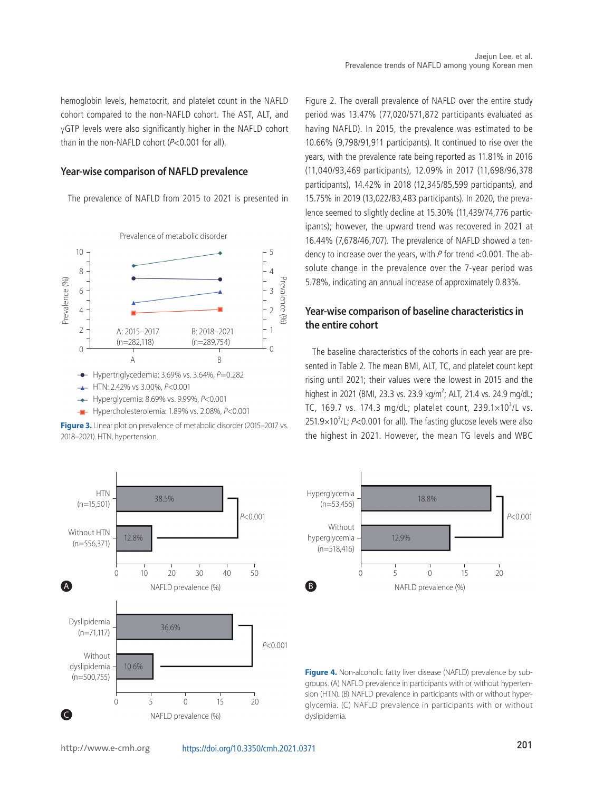

square test. The Cochran-Armitage trend test was performed to confirm the trends in NAFLD prevalence over time. Moreover, to measure the annual percent change (APC) and the average annual percent changes (AAPC) of prevalence during the 7-year examination period, the joinpoint model was applied using Joinpoint Regression Program version 4.9.0.0 (Statistical Methodology and Applications Branch, Surveillance Research Program; National Cancer Institute, Rockville, MD, USA). Statistical significance was set at  $P<0.05$ .

# **RESULTS**

### **Characteristics of study participants**

A total of 571,872 participants, whose medical data were registered in the NDEMIS from January 2015 to July 2021, were included in the analysis. Table 1 shows the characteristics of the study participants. Among them, 77,020 participants were classified as having NAFLD and were included in the NAFLD cohort. All of the participants were men. The mean ages were  $20.9\pm1.3$  and 21.0±1.4 years in the non-NAFLD and NAFLD cohorts, respectively (P<0.001). The mean BMI was higher in the NAFLD cohort (28.4 kg/m<sup>2</sup>) than in the non-NAFLD cohort (22.9 kg/m<sup>2</sup>). The mean SBP and DBP were also higher in the NAFLD cohort than in the non-NAFLD cohort (mean SBP, 125.7 vs. 118.2 mmHg; mean DBP, 75.0 vs. 69.7 mmHg; P<0.001). Regarding the lipid profile, the mean TC, LDL-cholesterol, and TG levels were higher in the NAFLD cohort than in the non-NAFLD cohort (TC, 184.8 vs. 168.9 mg/dL; LDL-cholesterol, 117.9 vs. 101.5 mg/dL; TG, 125.9 vs. 79.1 mg/dL; P<0.001 for all). Conversely, the mean HDL-cholesterol level was higher in the non-NAFLD cohort than in the NAFLD cohort (HDLcholesterol, 55.0 vs. 48.9 mg/dL; P<0.001). A comparison of blood test results revealed higher white blood cell (WBC) counts,



**Figure 2.** Comparison of estimated non-alcoholic fatty liver disease (NAFLD) prevalence over the study period.

|  | Table 2. Comparison of baseline characteristics by year |  |
|--|---------------------------------------------------------|--|
|  |                                                         |  |

|                | 2015<br>$(n=91,911)$ | 2016<br>$(n=93,469)$ | 2017<br>$(n=96,738)$ | 2018<br>$(n=85,999)$ | 2019<br>$(n=82,672)$ | 2020<br>$(n=74,776)$ | 2021<br>$(n=46,707)$ | P-value |
|----------------|----------------------|----------------------|----------------------|----------------------|----------------------|----------------------|----------------------|---------|
| BMI $(kq/m2)$  | $23.3 \pm 2.9$       | $23.5 \pm 3.0$       | $23.6 \pm 2.9$       | $23.8 \pm 3.1$       | $23.8 \pm 3.2$       | $23.8 \pm 3.1$       | $23.9 + 3.1$         | < 0.001 |
| ALT(U/L)       | $21.4 + 17.4$        | $21.3 \pm 18.1$      | $21.6 + 18.1$        | $22.4 + 19.7$        | $23.4 + 23.4$        | $74.0 + 70.9$        | $74.9 + 71.6$        | < 0.001 |
| FBS (mg/dL)    | $90.8 \pm 8.6$       | $89.9 + 8.1$         | $90.1 + 8.2$         | $90.5 + 8.4$         | $91.2 + 8.5$         | $90.8 + 7.7$         | $91.9 + 7.9$         | < 0.001 |
| TC (mg/dL)     | $169.7 + 28.8$       | 171.7±29.2           | $171.0 + 28.8$       | $170.6 + 29.0$       | $169.9 \pm 29.2$     | $171.7 + 29.7$       | $174.3 \pm 30.1$     | < 0.001 |
| TG (mg/dL)     | $85.7 \pm 55.2$      | $85.3 + 54.9$        | $85.1 \pm 55.3$      | $86.7 + 56.2$        | $87.8 + 57.6$        | $83.3 + 52.8$        | $82.4 + 51.3$        | < 0.001 |
| WBC (1,000/µL) | $6.9 \pm 1.7$        | $6.8 \pm 1.7$        | $6.8 \pm 1.6$        | $6.7 \pm 1.6$        | $6.5 \pm 1.6$        | $6.5 \pm 1.6$        | $6.5 \pm 1.5$        | < 0.001 |
| PLT $(10^9/L)$ | 239.1±45.1           | 240.4±45.6           | 241.9±46.0           | 242.9±46.2           | 247.4±46.7           | 250.7±46.4           | $251.9 + 46.9$       | < 0.001 |

Values are presented as mean±standard deviation.

BMI, body mass index; ALT, alanine aminotransferase; FBS, fasting blood sugar; TC, total cholesterol; TG, triglycerides; WBC, white blood cell; PLT, platelet.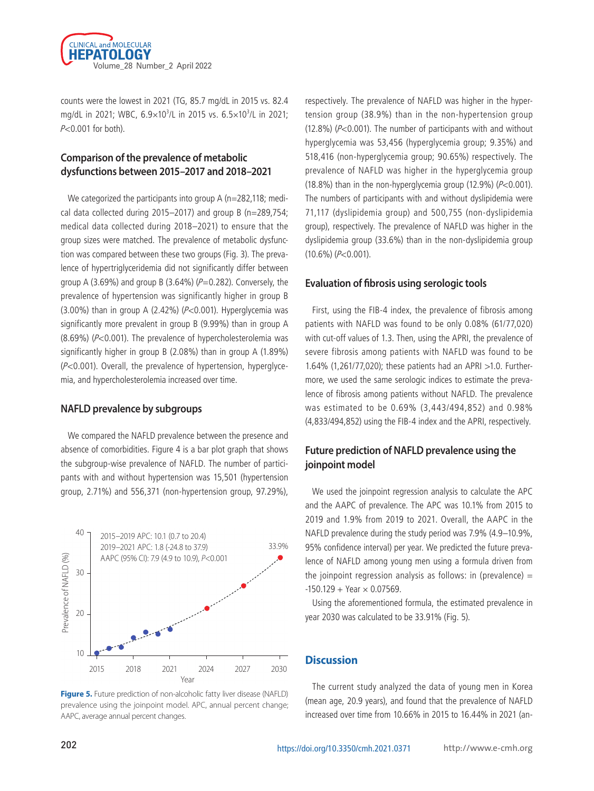hemoglobin levels, hematocrit, and platelet count in the NAFLD cohort compared to the non-NAFLD cohort. The AST, ALT, and γGTP levels were also significantly higher in the NAFLD cohort than in the non-NAFLD cohort  $(P< 0.001$  for all).

#### **Year-wise comparison of NAFLD prevalence**

The prevalence of NAFLD from 2015 to 2021 is presented in



- Hyperglycemia: 8.69% vs. 9.99%, *P*<0.001
- Hypercholesterolemia: 1.89% vs. 2.08%, *P*<0.001

Figure 3. Linear plot on prevalence of metabolic disorder (2015–2017 vs.



Figure 2. The overall prevalence of NAFLD over the entire study period was 13.47% (77,020/571,872 participants evaluated as having NAFLD). In 2015, the prevalence was estimated to be 10.66% (9,798/91,911 participants). It continued to rise over the years, with the prevalence rate being reported as 11.81% in 2016 (11,040/93,469 participants), 12.09% in 2017 (11,698/96,378 participants), 14.42% in 2018 (12,345/85,599 participants), and 15.75% in 2019 (13,022/83,483 participants). In 2020, the prevalence seemed to slightly decline at 15.30% (11,439/74,776 participants); however, the upward trend was recovered in 2021 at 16.44% (7,678/46,707). The prevalence of NAFLD showed a tendency to increase over the years, with  $P$  for trend <0.001. The absolute change in the prevalence over the 7-year period was 5.78%, indicating an annual increase of approximately 0.83%.

# **Year-wise comparison of baseline characteristics in the entire cohort**

The baseline characteristics of the cohorts in each year are presented in Table 2. The mean BMI, ALT, TC, and platelet count kept rising until 2021; their values were the lowest in 2015 and the highest in 2021 (BMI, 23.3 vs. 23.9 kg/m<sup>2</sup>; ALT, 21.4 vs. 24.9 mg/dL; TC, 169.7 vs. 174.3 mg/dL; platelet count,  $239.1 \times 10^3$ /L vs.  $251.9\times10^{3}$ /L;  $P<0.001$  for all). The fasting glucose levels were also the highest in 2021. However, the mean TG levels and WBC



**Figure 4.** Non-alcoholic fatty liver disease (NAFLD) prevalence by subgroups. (A) NAFLD prevalence in participants with or without hypertension (HTN). (B) NAFLD prevalence in participants with or without hyperglycemia. (C) NAFLD prevalence in participants with or without dyslipidemia.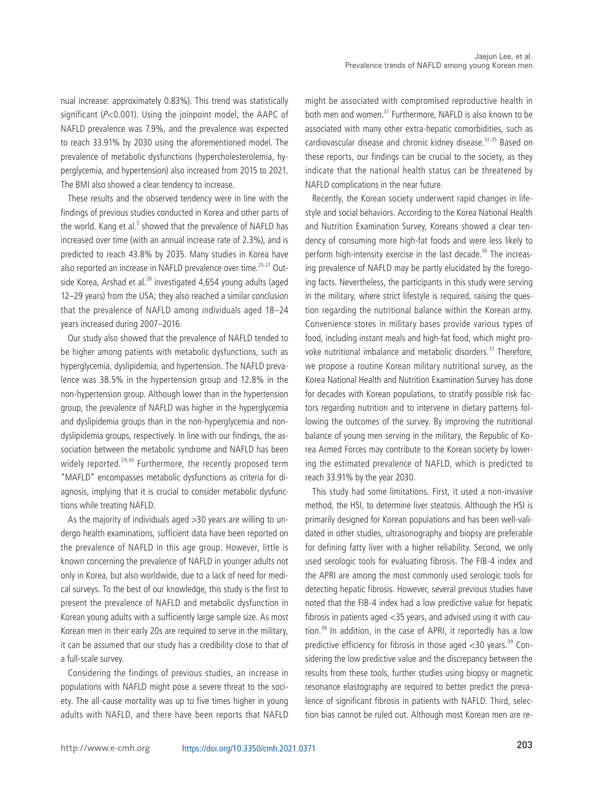

counts were the lowest in 2021 (TG, 85.7 mg/dL in 2015 vs. 82.4 mg/dL in 2021; WBC, 6.9×10<sup>3</sup>/L in 2015 vs. 6.5×10<sup>3</sup>/L in 2021; <sup>P</sup><0.001 for both).

# **Comparison of the prevalence of metabolic dysfunctions between 2015–2017 and 2018–2021**

We categorized the participants into group A (n=282,118; medical data collected during 2015–2017) and group B (n=289,754; medical data collected during 2018–2021) to ensure that the group sizes were matched. The prevalence of metabolic dysfunction was compared between these two groups (Fig. 3). The prevalence of hypertriglyceridemia did not significantly differ between group A (3.69%) and group B (3.64%) ( $P=0.282$ ). Conversely, the prevalence of hypertension was significantly higher in group B (3.00%) than in group A (2.42%) ( $P<0.001$ ). Hyperglycemia was significantly more prevalent in group B (9.99%) than in group A (8.69%) (P<0.001). The prevalence of hypercholesterolemia was significantly higher in group B (2.08%) than in group A (1.89%) (P<0.001). Overall, the prevalence of hypertension, hyperglycemia, and hypercholesterolemia increased over time.

#### **NAFLD prevalence by subgroups**

We compared the NAFLD prevalence between the presence and absence of comorbidities. Figure 4 is a bar plot graph that shows the subgroup-wise prevalence of NAFLD. The number of participants with and without hypertension was 15,501 (hypertension group, 2.71%) and 556,371 (non-hypertension group, 97.29%),



**Figure 5.** Future prediction of non-alcoholic fatty liver disease (NAFLD) prevalence using the joinpoint model. APC, annual percent change;

respectively. The prevalence of NAFLD was higher in the hypertension group (38.9%) than in the non-hypertension group (12.8%) ( $P<0.001$ ). The number of participants with and without hyperglycemia was 53,456 (hyperglycemia group; 9.35%) and 518,416 (non-hyperglycemia group; 90.65%) respectively. The prevalence of NAFLD was higher in the hyperglycemia group (18.8%) than in the non-hyperglycemia group (12.9%)  $(P<0.001)$ . The numbers of participants with and without dyslipidemia were 71,117 (dyslipidemia group) and 500,755 (non-dyslipidemia group), respectively. The prevalence of NAFLD was higher in the dyslipidemia group (33.6%) than in the non-dyslipidemia group  $(10.6\%) (P<0.001)$ .

# **Evaluation of fibrosis using serologic tools**

First, using the FIB-4 index, the prevalence of fibrosis among patients with NAFLD was found to be only 0.08% (61/77,020) with cut-off values of 1.3. Then, using the APRI, the prevalence of severe fibrosis among patients with NAFLD was found to be 1.64% (1,261/77,020); these patients had an APRI >1.0. Furthermore, we used the same serologic indices to estimate the prevalence of fibrosis among patients without NAFLD. The prevalence was estimated to be 0.69% (3,443/494,852) and 0.98% (4,833/494,852) using the FIB-4 index and the APRI, respectively.

# **Future prediction of NAFLD prevalence using the joinpoint model**

We used the joinpoint regression analysis to calculate the APC and the AAPC of prevalence. The APC was 10.1% from 2015 to 2019 and 1.9% from 2019 to 2021. Overall, the AAPC in the NAFLD prevalence during the study period was 7.9% (4.9–10.9%, 95% confidence interval) per year. We predicted the future prevalence of NAFLD among young men using a formula driven from the joinpoint regression analysis as follows: in (prevalence)  $=$  $-150.129 +$  Year  $\times$  0.07569.

Using the aforementioned formula, the estimated prevalence in year 2030 was calculated to be 33.91% (Fig. 5).

#### **Discussion**

The current study analyzed the data of young men in Korea (mean age, 20.9 years), and found that the prevalence of NAFLD increased over time from 10.66% in 2015 to 16.44% in 2021 (an-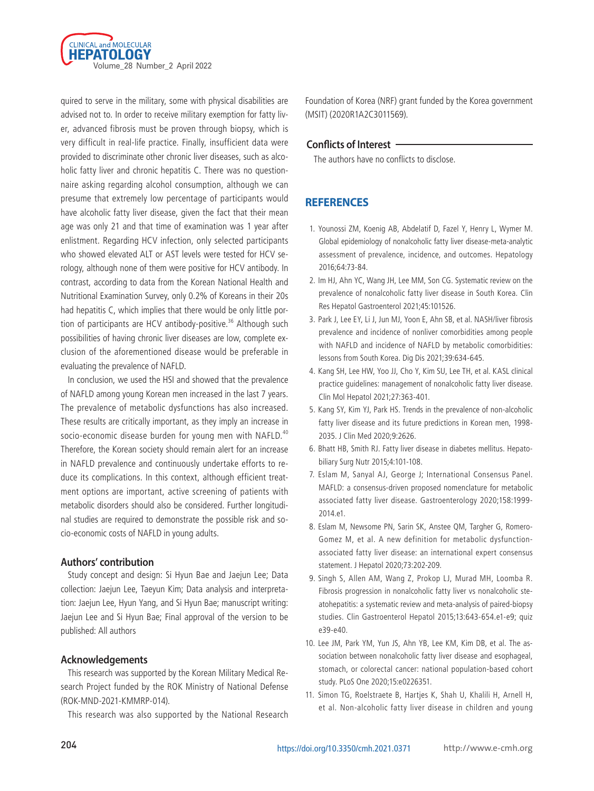nual increase: approximately 0.83%). This trend was statistically significant (P<0.001). Using the joinpoint model, the AAPC of NAFLD prevalence was 7.9%, and the prevalence was expected to reach 33.91% by 2030 using the aforementioned model. The prevalence of metabolic dysfunctions (hypercholesterolemia, hyperglycemia, and hypertension) also increased from 2015 to 2021. The BMI also showed a clear tendency to increase.

These results and the observed tendency were in line with the findings of previous studies conducted in Korea and other parts of the world. Kang et al.<sup>5</sup> showed that the prevalence of NAFLD has increased over time (with an annual increase rate of 2.3%), and is predicted to reach 43.8% by 2035. Many studies in Korea have also reported an increase in NAFLD prevalence over time.<sup>25-27</sup> Outside Korea, Arshad et al. $^{28}$  investigated 4,654 young adults (aged 12–29 years) from the USA; they also reached a similar conclusion that the prevalence of NAFLD among individuals aged 18–24 years increased during 2007–2016.

Our study also showed that the prevalence of NAFLD tended to be higher among patients with metabolic dysfunctions, such as hyperglycemia, dyslipidemia, and hypertension. The NAFLD prevalence was 38.5% in the hypertension group and 12.8% in the non-hypertension group. Although lower than in the hypertension group, the prevalence of NAFLD was higher in the hyperglycemia and dyslipidemia groups than in the non-hyperglycemia and nondyslipidemia groups, respectively. In line with our findings, the association between the metabolic syndrome and NAFLD has been widely reported.<sup>29,30</sup> Furthermore, the recently proposed term "MAFLD" encompasses metabolic dysfunctions as criteria for diagnosis, implying that it is crucial to consider metabolic dysfunctions while treating NAFLD.

As the majority of individuals aged >30 years are willing to undergo health examinations, sufficient data have been reported on the prevalence of NAFLD in this age group. However, little is known concerning the prevalence of NAFLD in younger adults not only in Korea, but also worldwide, due to a lack of need for medical surveys. To the best of our knowledge, this study is the first to present the prevalence of NAFLD and metabolic dysfunction in Korean young adults with a sufficiently large sample size. As most Korean men in their early 20s are required to serve in the military, it can be assumed that our study has a credibility close to that of a full-scale survey.

Considering the findings of previous studies, an increase in populations with NAFLD might pose a severe threat to the society. The all-cause mortality was up to five times higher in young adults with NAFLD, and there have been reports that NAFLD

might be associated with compromised reproductive health in both men and women.<sup>31</sup> Furthermore, NAFLD is also known to be associated with many other extra-hepatic comorbidities, such as cardiovascular disease and chronic kidney disease.<sup>32-35</sup> Based on these reports, our findings can be crucial to the society, as they indicate that the national health status can be threatened by NAFLD complications in the near future.

Recently, the Korean society underwent rapid changes in lifestyle and social behaviors. According to the Korea National Health and Nutrition Examination Survey, Koreans showed a clear tendency of consuming more high-fat foods and were less likely to perform high-intensity exercise in the last decade.<sup>36</sup> The increasing prevalence of NAFLD may be partly elucidated by the foregoing facts. Nevertheless, the participants in this study were serving in the military, where strict lifestyle is required, raising the question regarding the nutritional balance within the Korean army. Convenience stores in military bases provide various types of food, including instant meals and high-fat food, which might provoke nutritional imbalance and metabolic disorders.<sup>37</sup> Therefore, we propose a routine Korean military nutritional survey, as the Korea National Health and Nutrition Examination Survey has done for decades with Korean populations, to stratify possible risk factors regarding nutrition and to intervene in dietary patterns following the outcomes of the survey. By improving the nutritional balance of young men serving in the military, the Republic of Korea Armed Forces may contribute to the Korean society by lowering the estimated prevalence of NAFLD, which is predicted to reach 33.91% by the year 2030.

This study had some limitations. First, it used a non-invasive method, the HSI, to determine liver steatosis. Although the HSI is primarily designed for Korean populations and has been well-validated in other studies, ultrasonography and biopsy are preferable for defining fatty liver with a higher reliability. Second, we only used serologic tools for evaluating fibrosis. The FIB-4 index and the APRI are among the most commonly used serologic tools for detecting hepatic fibrosis. However, several previous studies have noted that the FIB-4 index had a low predictive value for hepatic fibrosis in patients aged <35 years, and advised using it with caution.<sup>38</sup> In addition, in the case of APRI, it reportedly has a low predictive efficiency for fibrosis in those aged  $<$ 30 years.<sup>39</sup> Considering the low predictive value and the discrepancy between the results from these tools, further studies using biopsy or magnetic resonance elastography are required to better predict the prevalence of significant fibrosis in patients with NAFLD. Third, selection bias cannot be ruled out. Although most Korean men are re-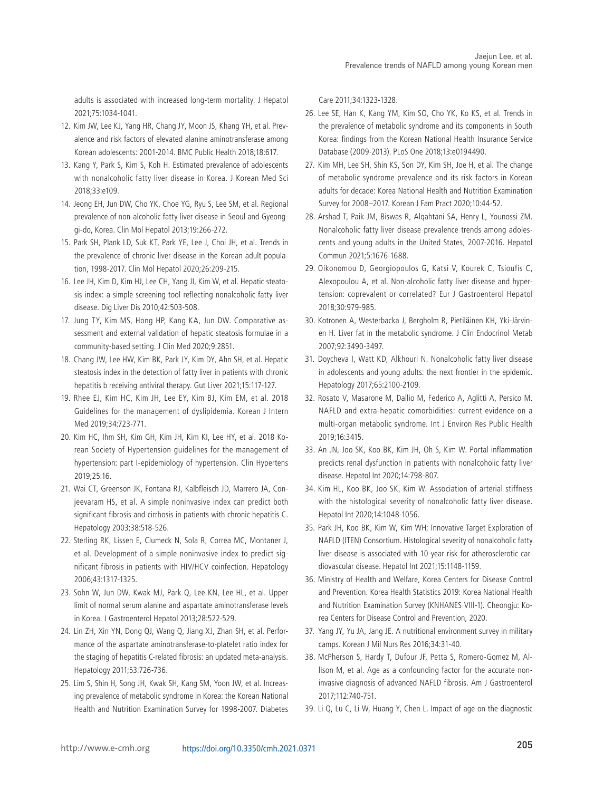

quired to serve in the military, some with physical disabilities are advised not to. In order to receive military exemption for fatty liver, advanced fibrosis must be proven through biopsy, which is very difficult in real-life practice. Finally, insufficient data were provided to discriminate other chronic liver diseases, such as alcoholic fatty liver and chronic hepatitis C. There was no questionnaire asking regarding alcohol consumption, although we can presume that extremely low percentage of participants would have alcoholic fatty liver disease, given the fact that their mean age was only 21 and that time of examination was 1 year after enlistment. Regarding HCV infection, only selected participants who showed elevated ALT or AST levels were tested for HCV serology, although none of them were positive for HCV antibody. In contrast, according to data from the Korean National Health and Nutritional Examination Survey, only 0.2% of Koreans in their 20s had hepatitis C, which implies that there would be only little portion of participants are HCV antibody-positive.<sup>36</sup> Although such possibilities of having chronic liver diseases are low, complete exclusion of the aforementioned disease would be preferable in evaluating the prevalence of NAFLD.

In conclusion, we used the HSI and showed that the prevalence of NAFLD among young Korean men increased in the last 7 years. The prevalence of metabolic dysfunctions has also increased. These results are critically important, as they imply an increase in socio-economic disease burden for young men with NAFLD.<sup>40</sup> Therefore, the Korean society should remain alert for an increase in NAFLD prevalence and continuously undertake efforts to reduce its complications. In this context, although efficient treatment options are important, active screening of patients with metabolic disorders should also be considered. Further longitudinal studies are required to demonstrate the possible risk and socio-economic costs of NAFLD in young adults.

#### **Authors' contribution**

Study concept and design: Si Hyun Bae and Jaejun Lee; Data collection: Jaejun Lee, Taeyun Kim; Data analysis and interpretation: Jaejun Lee, Hyun Yang, and Si Hyun Bae; manuscript writing: Jaejun Lee and Si Hyun Bae; Final approval of the version to be published: All authors

#### **Acknowledgements**

This research was supported by the Korean Military Medical Research Project funded by the ROK Ministry of National Defense (ROK-MND-2021-KMMRP-014).

This research was also supported by the National Research

Foundation of Korea (NRF) grant funded by the Korea government (MSIT) (2020R1A2C3011569).

#### **Conflicts of Interest**

The authors have no conflicts to disclose.

# **REFERENCES**

- 1. Younossi ZM, Koenig AB, Abdelatif D, Fazel Y, Henry L, Wymer M. Global epidemiology of nonalcoholic fatty liver disease-meta-analytic assessment of prevalence, incidence, and outcomes. Hepatology 2016;64:73-84.
- 2. Im HJ, Ahn YC, Wang JH, Lee MM, Son CG. Systematic review on the prevalence of nonalcoholic fatty liver disease in South Korea. Clin Res Hepatol Gastroenterol 2021;45:101526.
- 3. Park J, Lee EY, Li J, Jun MJ, Yoon E, Ahn SB, et al. NASH/liver fibrosis prevalence and incidence of nonliver comorbidities among people with NAFLD and incidence of NAFLD by metabolic comorbidities: lessons from South Korea. Dig Dis 2021;39:634-645.
- 4. Kang SH, Lee HW, Yoo JJ, Cho Y, Kim SU, Lee TH, et al. KASL clinical practice guidelines: management of nonalcoholic fatty liver disease. Clin Mol Hepatol 2021;27:363-401.
- 5. Kang SY, Kim YJ, Park HS. Trends in the prevalence of non-alcoholic fatty liver disease and its future predictions in Korean men, 1998- 2035. J Clin Med 2020;9:2626.
- 6. Bhatt HB, Smith RJ. Fatty liver disease in diabetes mellitus. Hepatobiliary Surg Nutr 2015;4:101-108.
- 7. Eslam M, Sanyal AJ, George J; International Consensus Panel. MAFLD: a consensus-driven proposed nomenclature for metabolic associated fatty liver disease. Gastroenterology 2020;158:1999- 2014.e1.
- 8. Eslam M, Newsome PN, Sarin SK, Anstee QM, Targher G, Romero-Gomez M, et al. A new definition for metabolic dysfunctionassociated fatty liver disease: an international expert consensus statement. J Hepatol 2020;73:202-209.
- 9. Singh S, Allen AM, Wang Z, Prokop LJ, Murad MH, Loomba R. Fibrosis progression in nonalcoholic fatty liver vs nonalcoholic steatohepatitis: a systematic review and meta-analysis of paired-biopsy studies. Clin Gastroenterol Hepatol 2015;13:643-654.e1-e9; quiz e39-e40.
- 10. Lee JM, Park YM, Yun JS, Ahn YB, Lee KM, Kim DB, et al. The association between nonalcoholic fatty liver disease and esophageal, stomach, or colorectal cancer: national population-based cohort study. PLoS One 2020;15:e0226351.
- 11. Simon TG, Roelstraete B, Hartjes K, Shah U, Khalili H, Arnell H, et al. Non-alcoholic fatty liver disease in children and young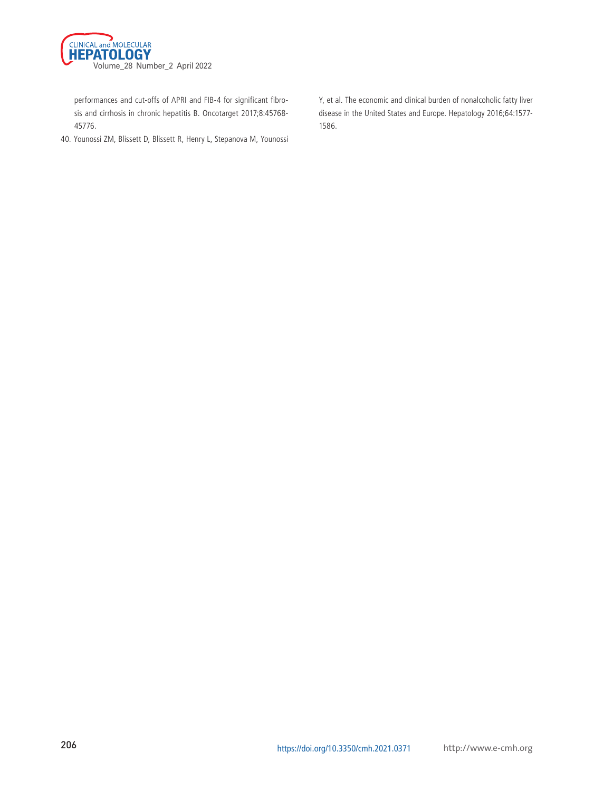adults is associated with increased long-term mortality. J Hepatol 2021;75:1034-1041.

- 12. Kim JW, Lee KJ, Yang HR, Chang JY, Moon JS, Khang YH, et al. Prevalence and risk factors of elevated alanine aminotransferase among Korean adolescents: 2001-2014. BMC Public Health 2018;18:617.
- 13. Kang Y, Park S, Kim S, Koh H. Estimated prevalence of adolescents with nonalcoholic fatty liver disease in Korea. J Korean Med Sci 2018;33:e109.
- 14. Jeong EH, Jun DW, Cho YK, Choe YG, Ryu S, Lee SM, et al. Regional prevalence of non-alcoholic fatty liver disease in Seoul and Gyeonggi-do, Korea. Clin Mol Hepatol 2013;19:266-272.
- 15. Park SH, Plank LD, Suk KT, Park YE, Lee J, Choi JH, et al. Trends in the prevalence of chronic liver disease in the Korean adult population, 1998-2017. Clin Mol Hepatol 2020;26:209-215.
- 16. Lee JH, Kim D, Kim HJ, Lee CH, Yang JI, Kim W, et al. Hepatic steatosis index: a simple screening tool reflecting nonalcoholic fatty liver disease. Dig Liver Dis 2010;42:503-508.
- 17. Jung TY, Kim MS, Hong HP, Kang KA, Jun DW. Comparative assessment and external validation of hepatic steatosis formulae in a community-based setting. J Clin Med 2020;9:2851.
- 18. Chang JW, Lee HW, Kim BK, Park JY, Kim DY, Ahn SH, et al. Hepatic steatosis index in the detection of fatty liver in patients with chronic hepatitis b receiving antiviral therapy. Gut Liver 2021;15:117-127.
- 19. Rhee EJ, Kim HC, Kim JH, Lee EY, Kim BJ, Kim EM, et al. 2018 Guidelines for the management of dyslipidemia. Korean J Intern Med 2019;34:723-771.
- 20. Kim HC, Ihm SH, Kim GH, Kim JH, Kim KI, Lee HY, et al. 2018 Korean Society of Hypertension guidelines for the management of hypertension: part I-epidemiology of hypertension. Clin Hypertens 2019;25:16.
- 21. Wai CT, Greenson JK, Fontana RJ, Kalbfleisch JD, Marrero JA, Conjeevaram HS, et al. A simple noninvasive index can predict both significant fibrosis and cirrhosis in patients with chronic hepatitis C. Hepatology 2003;38:518-526.
- 22. Sterling RK, Lissen E, Clumeck N, Sola R, Correa MC, Montaner J, et al. Development of a simple noninvasive index to predict significant fibrosis in patients with HIV/HCV coinfection. Hepatology 2006;43:1317-1325.
- 23. Sohn W, Jun DW, Kwak MJ, Park Q, Lee KN, Lee HL, et al. Upper limit of normal serum alanine and aspartate aminotransferase levels in Korea. J Gastroenterol Hepatol 2013;28:522-529.
- 24. Lin ZH, Xin YN, Dong QJ, Wang Q, Jiang XJ, Zhan SH, et al. Performance of the aspartate aminotransferase-to-platelet ratio index for the staging of hepatitis C-related fibrosis: an updated meta-analysis. Hepatology 2011;53:726-736.
- 25. Lim S, Shin H, Song JH, Kwak SH, Kang SM, Yoon JW, et al. Increasing prevalence of metabolic syndrome in Korea: the Korean National Health and Nutrition Examination Survey for 1998-2007. Diabetes

Care 2011;34:1323-1328.

- 26. Lee SE, Han K, Kang YM, Kim SO, Cho YK, Ko KS, et al. Trends in the prevalence of metabolic syndrome and its components in South Korea: findings from the Korean National Health Insurance Service Database (2009-2013). PLoS One 2018;13:e0194490.
- 27. Kim MH, Lee SH, Shin KS, Son DY, Kim SH, Joe H, et al. The change of metabolic syndrome prevalence and its risk factors in Korean adults for decade: Korea National Health and Nutrition Examination Survey for 2008–2017. Korean J Fam Pract 2020;10:44-52.
- 28. Arshad T, Paik JM, Biswas R, Alqahtani SA, Henry L, Younossi ZM. Nonalcoholic fatty liver disease prevalence trends among adolescents and young adults in the United States, 2007-2016. Hepatol Commun 2021;5:1676-1688.
- 29. Oikonomou D, Georgiopoulos G, Katsi V, Kourek C, Tsioufis C, Alexopoulou A, et al. Non-alcoholic fatty liver disease and hypertension: coprevalent or correlated? Eur J Gastroenterol Hepatol 2018;30:979-985.
- 30. Kotronen A, Westerbacka J, Bergholm R, Pietiläinen KH, Yki-Järvinen H. Liver fat in the metabolic syndrome. J Clin Endocrinol Metab 2007;92:3490-3497.
- 31. Doycheva I, Watt KD, Alkhouri N. Nonalcoholic fatty liver disease in adolescents and young adults: the next frontier in the epidemic. Hepatology 2017;65:2100-2109.
- 32. Rosato V, Masarone M, Dallio M, Federico A, Aglitti A, Persico M. NAFLD and extra-hepatic comorbidities: current evidence on a multi-organ metabolic syndrome. Int J Environ Res Public Health 2019;16:3415.
- 33. An JN, Joo SK, Koo BK, Kim JH, Oh S, Kim W. Portal inflammation predicts renal dysfunction in patients with nonalcoholic fatty liver disease. Hepatol Int 2020;14:798-807.
- 34. Kim HL, Koo BK, Joo SK, Kim W. Association of arterial stiffness with the histological severity of nonalcoholic fatty liver disease. Hepatol Int 2020;14:1048-1056.
- 35. Park JH, Koo BK, Kim W, Kim WH; Innovative Target Exploration of NAFLD (ITEN) Consortium. Histological severity of nonalcoholic fatty liver disease is associated with 10-year risk for atherosclerotic cardiovascular disease. Hepatol Int 2021;15:1148-1159.
- 36. Ministry of Health and Welfare, Korea Centers for Disease Control and Prevention. Korea Health Statistics 2019: Korea National Health and Nutrition Examination Survey (KNHANES VIII-1). Cheongju: Korea Centers for Disease Control and Prevention, 2020.
- 37. Yang JY, Yu JA, Jang JE. A nutritional environment survey in military camps. Korean J Mil Nurs Res 2016;34:31-40.
- 38. McPherson S, Hardy T, Dufour JF, Petta S, Romero-Gomez M, Allison M, et al. Age as a confounding factor for the accurate noninvasive diagnosis of advanced NAFLD fibrosis. Am J Gastroenterol 2017;112:740-751.
- 39. Li Q, Lu C, Li W, Huang Y, Chen L. Impact of age on the diagnostic